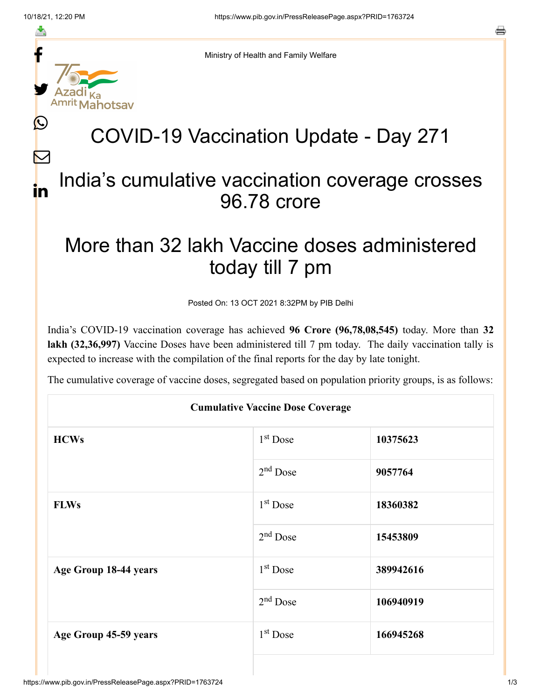f

≛

y.

ahotsav

Ŀ

 $\bm{\nabla}$ 

in



## COVID-19 Vaccination Update - Day 271

## India's cumulative vaccination coverage crosses 96.78 crore

## More than 32 lakh Vaccine doses administered today till 7 pm

Posted On: 13 OCT 2021 8:32PM by PIB Delhi

India's COVID-19 vaccination coverage has achieved **96 Crore (96,78,08,545)** today. More than **32 lakh (32,36,997)** Vaccine Doses have been administered till 7 pm today. The daily vaccination tally is expected to increase with the compilation of the final reports for the day by late tonight.

The cumulative coverage of vaccine doses, segregated based on population priority groups, is as follows:

| <b>Cumulative Vaccine Dose Coverage</b> |            |           |  |  |
|-----------------------------------------|------------|-----------|--|--|
| <b>HCWs</b>                             | $1st$ Dose | 10375623  |  |  |
|                                         | $2nd$ Dose | 9057764   |  |  |
| <b>FLWs</b>                             | $1st$ Dose | 18360382  |  |  |
|                                         | $2nd$ Dose | 15453809  |  |  |
| Age Group 18-44 years                   | $1st$ Dose | 389942616 |  |  |
|                                         | $2nd$ Dose | 106940919 |  |  |
| Age Group 45-59 years                   | $1st$ Dose | 166945268 |  |  |
|                                         |            |           |  |  |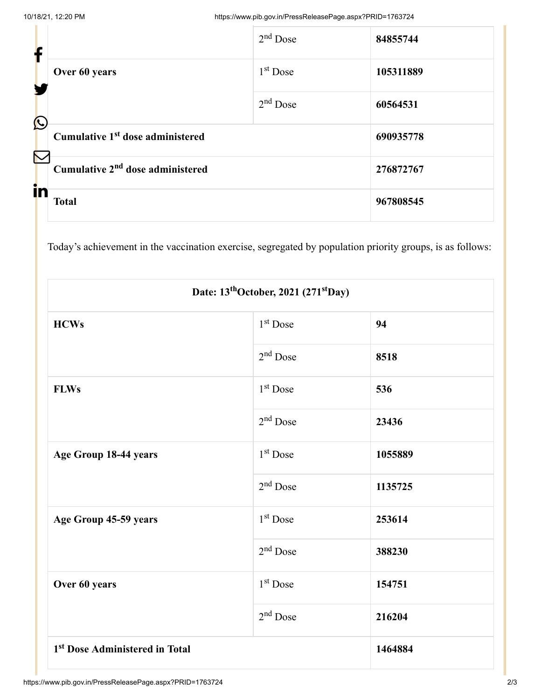| $\mathbf f$           |                                              | $2nd$ Dose | 84855744  |
|-----------------------|----------------------------------------------|------------|-----------|
|                       | Over 60 years                                | $1st$ Dose | 105311889 |
| $\bigcirc$            |                                              | $2nd$ Dose | 60564531  |
| $\boldsymbol{\nabla}$ | Cumulative 1 <sup>st</sup> dose administered |            | 690935778 |
|                       | Cumulative 2 <sup>nd</sup> dose administered |            | 276872767 |
| in                    | <b>Total</b>                                 |            | 967808545 |

Today's achievement in the vaccination exercise, segregated by population priority groups, is as follows:

| Date: 13 <sup>th</sup> October, 2021 (271 <sup>st</sup> Day) |                      |         |  |  |
|--------------------------------------------------------------|----------------------|---------|--|--|
| <b>HCWs</b>                                                  | 1 <sup>st</sup> Dose | 94      |  |  |
|                                                              | $2nd$ Dose           | 8518    |  |  |
| <b>FLWs</b>                                                  | 1 <sup>st</sup> Dose | 536     |  |  |
|                                                              | $2nd$ Dose           | 23436   |  |  |
| Age Group 18-44 years                                        | 1 <sup>st</sup> Dose | 1055889 |  |  |
|                                                              | $2nd$ Dose           | 1135725 |  |  |
| Age Group 45-59 years                                        | 1 <sup>st</sup> Dose | 253614  |  |  |
|                                                              | $2nd$ Dose           | 388230  |  |  |
| Over 60 years                                                | 1 <sup>st</sup> Dose | 154751  |  |  |
|                                                              | $2nd$ Dose           | 216204  |  |  |
| 1 <sup>st</sup> Dose Administered in Total                   |                      | 1464884 |  |  |